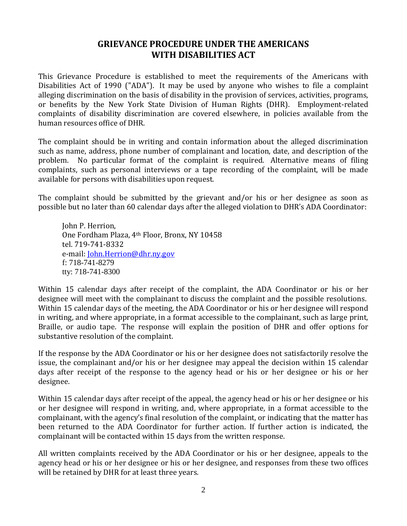## **GRIEVANCE PROCEDURE UNDER THE AMERICANS WITH DISABILITIES ACT**

This Grievance Procedure is established to meet the requirements of the Americans with Disabilities Act of 1990 ("ADA"). It may be used by anyone who wishes to file a complaint alleging discrimination on the basis of disability in the provision of services, activities, programs, or benefits by the New York State Division of Human Rights (DHR). Employment-related complaints of disability discrimination are covered elsewhere, in policies available from the human resources office of DHR.

The complaint should be in writing and contain information about the alleged discrimination such as name, address, phone number of complainant and location, date, and description of the problem. No particular format of the complaint is required. Alternative means of filing complaints, such as personal interviews or a tape recording of the complaint, will be made available for persons with disabilities upon request.

The complaint should be submitted by the grievant and/or his or her designee as soon as possible but no later than 60 calendar days after the alleged violation to DHR's ADA Coordinator:

John P. Herrion, One Fordham Plaza, 4th Floor, Bronx, NY 10458 tel. 719-741-8332 e-mail: *John.Herrion@dhr.ny.gov*  f: 718-741-8279 tty: 718-741-8300

Within 15 calendar days after receipt of the complaint, the ADA Coordinator or his or her designee will meet with the complainant to discuss the complaint and the possible resolutions. Within 15 calendar days of the meeting, the ADA Coordinator or his or her designee will respond in writing, and where appropriate, in a format accessible to the complainant, such as large print, Braille, or audio tape. The response will explain the position of DHR and offer options for substantive resolution of the complaint.

If the response by the ADA Coordinator or his or her designee does not satisfactorily resolve the issue, the complainant and/or his or her designee may appeal the decision within 15 calendar days after receipt of the response to the agency head or his or her designee or his or her designee.

Within 15 calendar days after receipt of the appeal, the agency head or his or her designee or his or her designee will respond in writing, and, where appropriate, in a format accessible to the complainant, with the agency's final resolution of the complaint, or indicating that the matter has been returned to the ADA Coordinator for further action. If further action is indicated, the complainant will be contacted within 15 days from the written response.

All written complaints received by the ADA Coordinator or his or her designee, appeals to the agency head or his or her designee or his or her designee, and responses from these two offices will be retained by DHR for at least three years.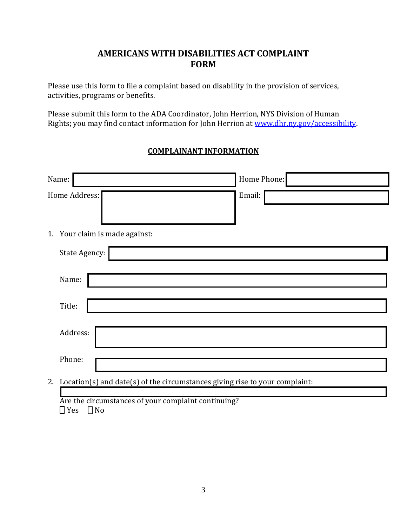## **AMERICANS WITH DISABILITIES ACT COMPLAINT FORM**

Please use this form to file a complaint based on disability in the provision of services, activities, programs or benefits.

Please submit this form to the ADA Coordinator, John Herrion, NYS Division of Human Rights; you may find contact information for John Herrion at [www.dhr.ny.gov/accessibility.](http://www.dhr.ny.gov/accessibility)

## **COMPLAINANT INFORMATION**

| Name:                                                                             | Home Phone: |  |
|-----------------------------------------------------------------------------------|-------------|--|
| Home Address:                                                                     | Email:      |  |
|                                                                                   |             |  |
| 1. Your claim is made against:                                                    |             |  |
| State Agency:                                                                     |             |  |
| Name:                                                                             |             |  |
| Title:                                                                            |             |  |
| Address:                                                                          |             |  |
| Phone:                                                                            |             |  |
| Location(s) and date(s) of the circumstances giving rise to your complaint:<br>2. |             |  |
| Are the circumstances of your complaint continuing?                               |             |  |

 $\Box$  Yes  $\Box$  No